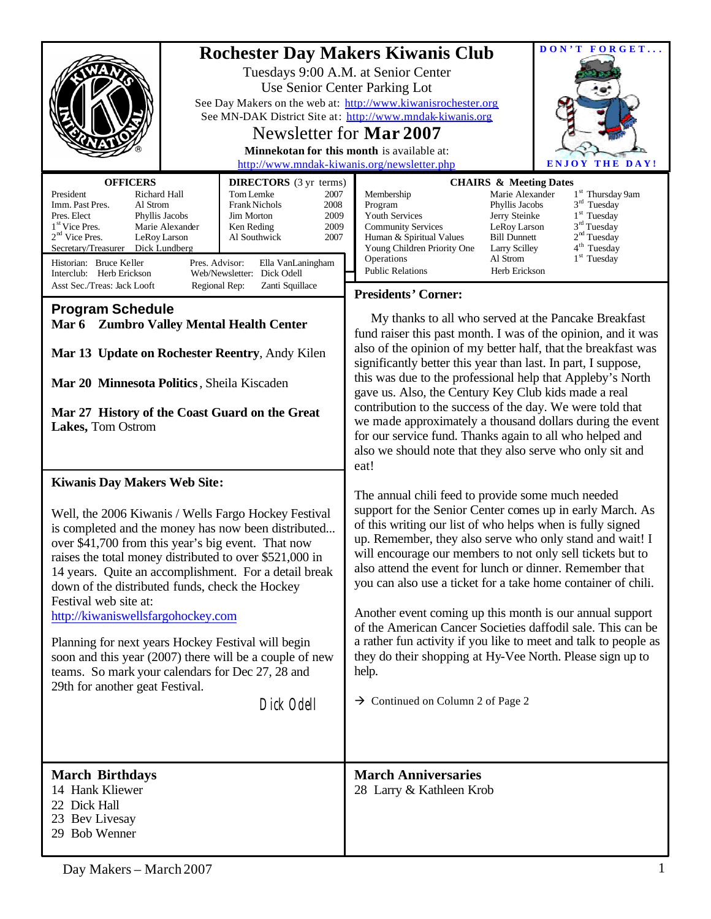| <b>OFFICERS</b><br><b>DIRECTORS</b> (3 yr terms)                                                                                                                                                                                                                                                                                                                                                                                                                                                                                                                                                                                                                     | DON'T FORGET<br><b>Rochester Day Makers Kiwanis Club</b><br>Tuesdays 9:00 A.M. at Senior Center<br>Use Senior Center Parking Lot<br>See Day Makers on the web at: http://www.kiwanisrochester.org<br>See MN-DAK District Site at: http://www.mndak-kiwanis.org<br>Newsletter for <b>Mar 2007</b><br>Minnekotan for this month is available at:<br>http://www.mndak-kiwanis.org/newsletter.php<br><b>ENJOY THE DAY!</b><br><b>CHAIRS &amp; Meeting Dates</b>                                                                                                                                                                                                                                                                                              |  |  |
|----------------------------------------------------------------------------------------------------------------------------------------------------------------------------------------------------------------------------------------------------------------------------------------------------------------------------------------------------------------------------------------------------------------------------------------------------------------------------------------------------------------------------------------------------------------------------------------------------------------------------------------------------------------------|----------------------------------------------------------------------------------------------------------------------------------------------------------------------------------------------------------------------------------------------------------------------------------------------------------------------------------------------------------------------------------------------------------------------------------------------------------------------------------------------------------------------------------------------------------------------------------------------------------------------------------------------------------------------------------------------------------------------------------------------------------|--|--|
| President<br>Richard Hall<br>Tom Lemke<br>2007<br>Al Strom<br><b>Frank Nichols</b><br>Imm. Past Pres.<br>2008<br>Pres. Elect<br>Jim Morton<br>2009<br>Phyllis Jacobs<br>1 <sup>st</sup> Vice Pres.<br>Marie Alexander<br>2009<br>Ken Reding<br>$2nd$ Vice Pres.<br>2007<br>LeRoy Larson<br>Al Southwick<br>Secretary/Treasurer<br>Dick Lundberg<br>Historian: Bruce Keller<br>Pres. Advisor:<br>Ella VanLaningham<br>Web/Newsletter: Dick Odell<br>Interclub: Herb Erickson                                                                                                                                                                                          | 1 <sup>st</sup> Thursday 9am<br>Marie Alexander<br>Membership<br>$3rd$ Tuesday<br>Program<br>Phyllis Jacobs<br>$1st$ Tuesday<br>Youth Services<br>Jerry Steinke<br>$3rd$ Tuesday<br><b>Community Services</b><br>LeRoy Larson<br>2 <sup>nd</sup> Tuesday<br><b>Bill Dunnett</b><br>Human & Spiritual Values<br>4 <sup>th</sup> Tuesday<br>Young Children Priority One<br>Larry Scilley<br>$1st$ Tuesday<br>Operations<br>Al Strom<br><b>Public Relations</b><br>Herb Erickson                                                                                                                                                                                                                                                                            |  |  |
| Asst Sec./Treas: Jack Looft<br>Regional Rep:<br>Zanti Squillace                                                                                                                                                                                                                                                                                                                                                                                                                                                                                                                                                                                                      | <b>Presidents' Corner:</b>                                                                                                                                                                                                                                                                                                                                                                                                                                                                                                                                                                                                                                                                                                                               |  |  |
| <b>Program Schedule</b><br>Mar 6 Zumbro Valley Mental Health Center<br>Mar 13 Update on Rochester Reentry, Andy Kilen<br>Mar 20 Minnesota Politics, Sheila Kiscaden<br>Mar 27 History of the Coast Guard on the Great<br>Lakes, Tom Ostrom                                                                                                                                                                                                                                                                                                                                                                                                                           | My thanks to all who served at the Pancake Breakfast<br>fund raiser this past month. I was of the opinion, and it was<br>also of the opinion of my better half, that the breakfast was<br>significantly better this year than last. In part, I suppose,<br>this was due to the professional help that Appleby's North<br>gave us. Also, the Century Key Club kids made a real<br>contribution to the success of the day. We were told that<br>we made approximately a thousand dollars during the event<br>for our service fund. Thanks again to all who helped and<br>also we should note that they also serve who only sit and<br>eat!                                                                                                                 |  |  |
| <b>Kiwanis Day Makers Web Site:</b><br>Well, the 2006 Kiwanis / Wells Fargo Hockey Festival<br>is completed and the money has now been distributed<br>over \$41,700 from this year's big event. That now<br>raises the total money distributed to over \$521,000 in<br>14 years. Quite an accomplishment. For a detail break<br>down of the distributed funds, check the Hockey<br>Festival web site at:<br>http://kiwaniswellsfargohockey.com<br>Planning for next years Hockey Festival will begin<br>soon and this year (2007) there will be a couple of new<br>teams. So mark your calendars for Dec 27, 28 and<br>29th for another geat Festival.<br>Dick Odell | The annual chili feed to provide some much needed<br>support for the Senior Center comes up in early March. As<br>of this writing our list of who helps when is fully signed<br>up. Remember, they also serve who only stand and wait! I<br>will encourage our members to not only sell tickets but to<br>also attend the event for lunch or dinner. Remember that<br>you can also use a ticket for a take home container of chili.<br>Another event coming up this month is our annual support<br>of the American Cancer Societies daffodil sale. This can be<br>a rather fun activity if you like to meet and talk to people as<br>they do their shopping at Hy-Vee North. Please sign up to<br>help.<br>$\rightarrow$ Continued on Column 2 of Page 2 |  |  |
| <b>March Birthdays</b><br>14 Hank Kliewer<br>22 Dick Hall<br>23 Bev Livesay<br>29 Bob Wenner                                                                                                                                                                                                                                                                                                                                                                                                                                                                                                                                                                         | <b>March Anniversaries</b><br>28 Larry & Kathleen Krob                                                                                                                                                                                                                                                                                                                                                                                                                                                                                                                                                                                                                                                                                                   |  |  |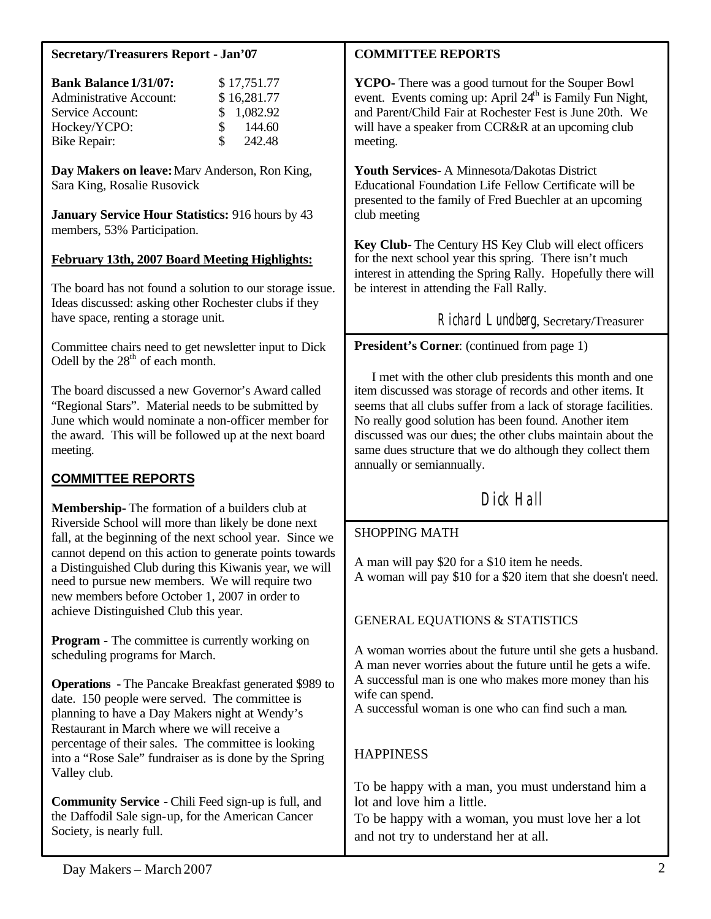#### **Secretary/Treasurers Report - Jan'07**

| <b>Bank Balance 1/31/07:</b>   |     | \$17,751.77 |
|--------------------------------|-----|-------------|
| <b>Administrative Account:</b> |     | \$16,281.77 |
| Service Account:               |     | \$1,082.92  |
| Hockey/YCPO:                   | SS. | 144.60      |
| <b>Bike Repair:</b>            | S.  | 242.48      |

**Day Makers on leave:** Marv Anderson, Ron King, Sara King, Rosalie Rusovick

**January Service Hour Statistics:** 916 hours by 43 members, 53% Participation.

#### **February 13th, 2007 Board Meeting Highlights:**

The board has not found a solution to our storage issue. Ideas discussed: asking other Rochester clubs if they have space, renting a storage unit.

Committee chairs need to get newsletter input to Dick Odell by the  $28<sup>th</sup>$  of each month.

The board discussed a new Governor's Award called "Regional Stars". Material needs to be submitted by June which would nominate a non-officer member for the award. This will be followed up at the next board meeting.

## **COMMITTEE REPORTS**

**Membership-** The formation of a builders club at Riverside School will more than likely be done next fall, at the beginning of the next school year. Since we cannot depend on this action to generate points towards a Distinguished Club during this Kiwanis year, we will need to pursue new members. We will require two new members before October 1, 2007 in order to achieve Distinguished Club this year.

**Program -** The committee is currently working on scheduling programs for March.

**Operations** - The Pancake Breakfast generated \$989 to date. 150 people were served. The committee is planning to have a Day Makers night at Wendy's Restaurant in March where we will receive a percentage of their sales. The committee is looking into a "Rose Sale" fundraiser as is done by the Spring Valley club.

**Community Service -** Chili Feed sign-up is full, and the Daffodil Sale sign-up, for the American Cancer Society, is nearly full.

#### **COMMITTEE REPORTS**

**YCPO-** There was a good turnout for the Souper Bowl event. Events coming up: April  $24<sup>th</sup>$  is Family Fun Night, and Parent/Child Fair at Rochester Fest is June 20th. We will have a speaker from CCR&R at an upcoming club meeting.

**Youth Services-** A Minnesota/Dakotas District Educational Foundation Life Fellow Certificate will be presented to the family of Fred Buechler at an upcoming club meeting

**Key Club-** The Century HS Key Club will elect officers for the next school year this spring. There isn't much interest in attending the Spring Rally. Hopefully there will be interest in attending the Fall Rally.

Richard Lundberg, Secretary/Treasurer

**President's Corner**: (continued from page 1)

 I met with the other club presidents this month and one item discussed was storage of records and other items. It seems that all clubs suffer from a lack of storage facilities. No really good solution has been found. Another item discussed was our dues; the other clubs maintain about the same dues structure that we do although they collect them annually or semiannually.

# Dick Hall

## SHOPPING MATH

A man will pay \$20 for a \$10 item he needs. A woman will pay \$10 for a \$20 item that she doesn't need.

### GENERAL EQUATIONS & STATISTICS

A woman worries about the future until she gets a husband. A man never worries about the future until he gets a wife. A successful man is one who makes more money than his wife can spend.

A successful woman is one who can find such a man.

## **HAPPINESS**

To be happy with a man, you must understand him a lot and love him a little.

To be happy with a woman, you must love her a lot and not try to understand her at all.